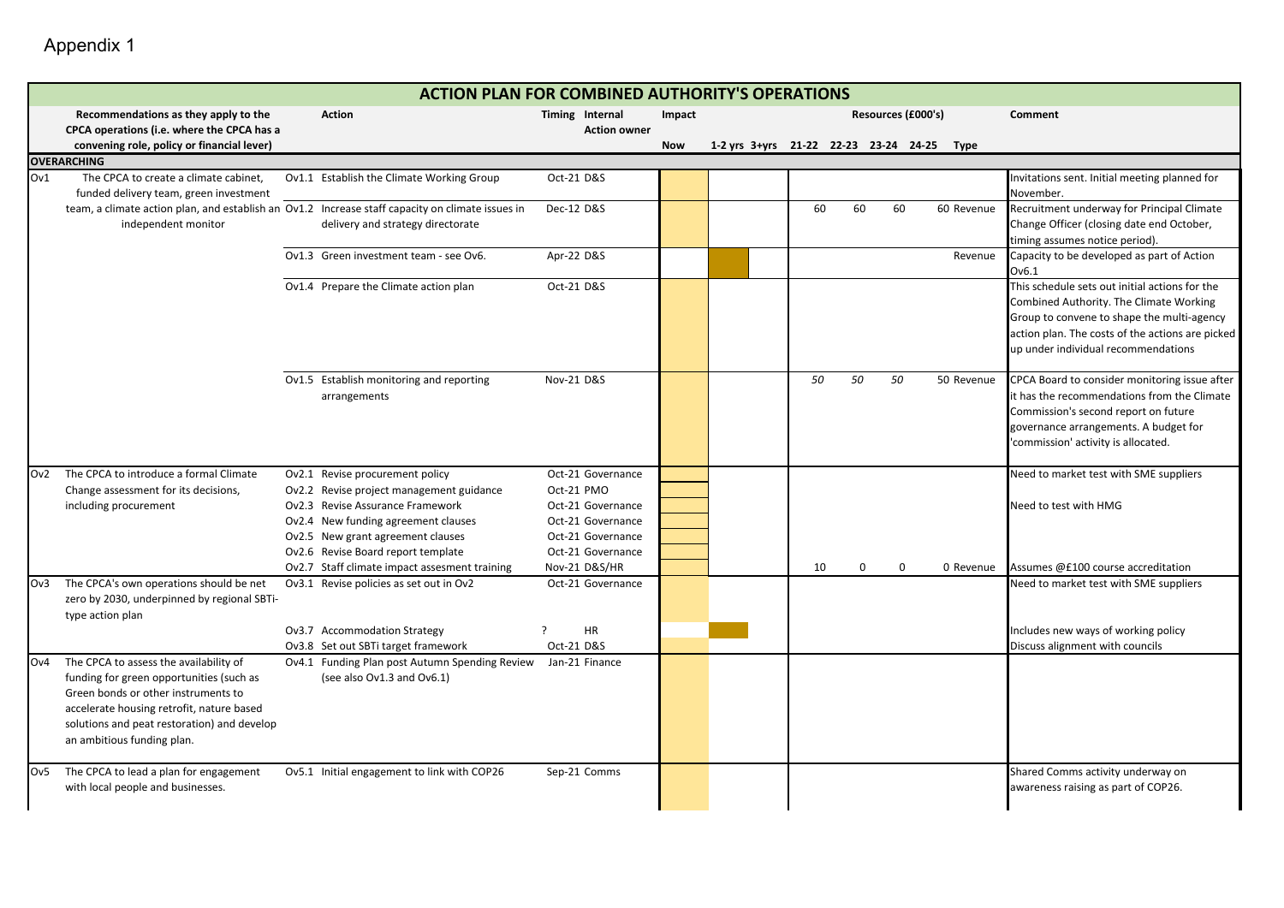Appendix 1

and the control of the control of the control of the control of the control of

|     | <b>ACTION PLAN FOR COMBINED AUTHORITY'S OPERATIONS</b>                                           |  |                                                |                     |            |  |  |    |             |                    |                                            |                                                                             |
|-----|--------------------------------------------------------------------------------------------------|--|------------------------------------------------|---------------------|------------|--|--|----|-------------|--------------------|--------------------------------------------|-----------------------------------------------------------------------------|
|     | Recommendations as they apply to the                                                             |  | <b>Action</b>                                  | Timing Internal     | Impact     |  |  |    |             | Resources (£000's) |                                            | Comment                                                                     |
|     | CPCA operations (i.e. where the CPCA has a                                                       |  |                                                | <b>Action owner</b> |            |  |  |    |             |                    |                                            |                                                                             |
|     | convening role, policy or financial lever)                                                       |  |                                                |                     | <b>Now</b> |  |  |    |             |                    | 1-2 yrs 3+yrs 21-22 22-23 23-24 24-25 Type |                                                                             |
|     | <b>OVERARCHING</b>                                                                               |  |                                                |                     |            |  |  |    |             |                    |                                            |                                                                             |
| Ov1 | The CPCA to create a climate cabinet,                                                            |  | Ov1.1 Establish the Climate Working Group      | Oct-21 D&S          |            |  |  |    |             |                    |                                            | Invitations sent. Initial meeting planned for                               |
|     | funded delivery team, green investment                                                           |  |                                                |                     |            |  |  |    |             |                    |                                            | November.                                                                   |
|     | team, a climate action plan, and establish an Ov1.2 Increase staff capacity on climate issues in |  |                                                | Dec-12 D&S          |            |  |  | 60 | 60          | 60                 | 60 Revenue                                 | Recruitment underway for Principal Climate                                  |
|     | independent monitor                                                                              |  | delivery and strategy directorate              |                     |            |  |  |    |             |                    |                                            | Change Officer (closing date end October,<br>timing assumes notice period). |
|     |                                                                                                  |  | Ov1.3 Green investment team - see Ov6.         | Apr-22 D&S          |            |  |  |    |             |                    | Revenue                                    | Capacity to be developed as part of Action                                  |
|     |                                                                                                  |  |                                                |                     |            |  |  |    |             |                    |                                            | Ov6.1                                                                       |
|     |                                                                                                  |  | Ov1.4 Prepare the Climate action plan          | Oct-21 D&S          |            |  |  |    |             |                    |                                            | This schedule sets out initial actions for the                              |
|     |                                                                                                  |  |                                                |                     |            |  |  |    |             |                    |                                            | Combined Authority. The Climate Working                                     |
|     |                                                                                                  |  |                                                |                     |            |  |  |    |             |                    |                                            | Group to convene to shape the multi-agency                                  |
|     |                                                                                                  |  |                                                |                     |            |  |  |    |             |                    |                                            | action plan. The costs of the actions are picked                            |
|     |                                                                                                  |  |                                                |                     |            |  |  |    |             |                    |                                            | up under individual recommendations                                         |
|     |                                                                                                  |  | Ov1.5 Establish monitoring and reporting       | Nov-21 D&S          |            |  |  | 50 | 50          | 50                 | 50 Revenue                                 | CPCA Board to consider monitoring issue after                               |
|     |                                                                                                  |  | arrangements                                   |                     |            |  |  |    |             |                    |                                            | it has the recommendations from the Climate                                 |
|     |                                                                                                  |  |                                                |                     |            |  |  |    |             |                    |                                            | Commission's second report on future                                        |
|     |                                                                                                  |  |                                                |                     |            |  |  |    |             |                    |                                            | governance arrangements. A budget for                                       |
|     |                                                                                                  |  |                                                |                     |            |  |  |    |             |                    |                                            | commission' activity is allocated.                                          |
| Ov2 | The CPCA to introduce a formal Climate                                                           |  | Ov2.1 Revise procurement policy                | Oct-21 Governance   |            |  |  |    |             |                    |                                            | Need to market test with SME suppliers                                      |
|     | Change assessment for its decisions,                                                             |  | Ov2.2 Revise project management guidance       | Oct-21 PMO          |            |  |  |    |             |                    |                                            |                                                                             |
|     | including procurement                                                                            |  | Ov2.3 Revise Assurance Framework               | Oct-21 Governance   |            |  |  |    |             |                    |                                            | Need to test with HMG                                                       |
|     |                                                                                                  |  | Ov2.4 New funding agreement clauses            | Oct-21 Governance   |            |  |  |    |             |                    |                                            |                                                                             |
|     |                                                                                                  |  | Ov2.5 New grant agreement clauses              | Oct-21 Governance   |            |  |  |    |             |                    |                                            |                                                                             |
|     |                                                                                                  |  | Ov2.6 Revise Board report template             | Oct-21 Governance   |            |  |  |    |             |                    |                                            |                                                                             |
|     |                                                                                                  |  | Ov2.7 Staff climate impact assesment training  | Nov-21 D&S/HR       |            |  |  | 10 | $\mathbf 0$ | $\Omega$           | 0 Revenue                                  | Assumes @£100 course accreditation                                          |
| Ov3 | The CPCA's own operations should be net                                                          |  | Ov3.1 Revise policies as set out in Ov2        | Oct-21 Governance   |            |  |  |    |             |                    |                                            | Need to market test with SME suppliers                                      |
|     | zero by 2030, underpinned by regional SBTi-                                                      |  |                                                |                     |            |  |  |    |             |                    |                                            |                                                                             |
|     | type action plan                                                                                 |  | Ov3.7 Accommodation Strategy                   | <b>HR</b><br>7      |            |  |  |    |             |                    |                                            | Includes new ways of working policy                                         |
|     |                                                                                                  |  | Ov3.8 Set out SBTi target framework            | Oct-21 D&S          |            |  |  |    |             |                    |                                            | Discuss alignment with councils                                             |
| Ov4 | The CPCA to assess the availability of                                                           |  | Ov4.1 Funding Plan post Autumn Spending Review | Jan-21 Finance      |            |  |  |    |             |                    |                                            |                                                                             |
|     | funding for green opportunities (such as                                                         |  | (see also Ov1.3 and Ov6.1)                     |                     |            |  |  |    |             |                    |                                            |                                                                             |
|     | Green bonds or other instruments to                                                              |  |                                                |                     |            |  |  |    |             |                    |                                            |                                                                             |
|     | accelerate housing retrofit, nature based                                                        |  |                                                |                     |            |  |  |    |             |                    |                                            |                                                                             |
|     | solutions and peat restoration) and develop                                                      |  |                                                |                     |            |  |  |    |             |                    |                                            |                                                                             |
|     | an ambitious funding plan.                                                                       |  |                                                |                     |            |  |  |    |             |                    |                                            |                                                                             |
| Ov5 | The CPCA to lead a plan for engagement                                                           |  | Ov5.1 Initial engagement to link with COP26    | Sep-21 Comms        |            |  |  |    |             |                    |                                            | Shared Comms activity underway on                                           |
|     | with local people and businesses.                                                                |  |                                                |                     |            |  |  |    |             |                    |                                            | awareness raising as part of COP26.                                         |
|     |                                                                                                  |  |                                                |                     |            |  |  |    |             |                    |                                            |                                                                             |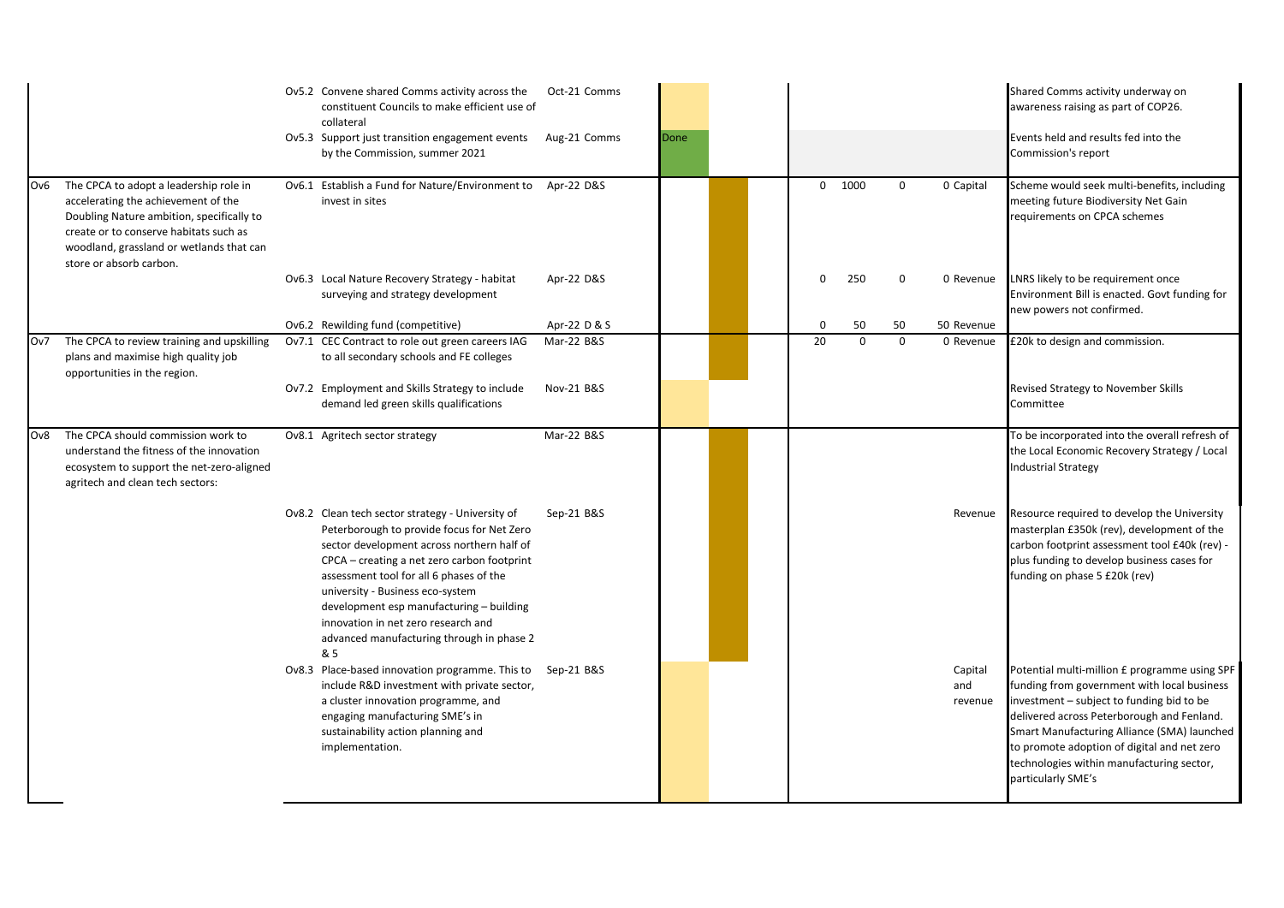|     |                                                                                                                                                                                                                  | Ov5.2 Convene shared Comms activity across the<br>constituent Councils to make efficient use of<br>collateral<br>Ov5.3 Support just transition engagement events<br>by the Commission, summer 2021                                                                                                                                                                                                                | Oct-21 Comms<br>Aug-21 Comms | Done |  |              |                |                |                           | Shared Comms activity underway on<br>awareness raising as part of COP26.<br>Events held and results fed into the<br>Commission's report                                                                                                                                                                                                                  |
|-----|------------------------------------------------------------------------------------------------------------------------------------------------------------------------------------------------------------------|-------------------------------------------------------------------------------------------------------------------------------------------------------------------------------------------------------------------------------------------------------------------------------------------------------------------------------------------------------------------------------------------------------------------|------------------------------|------|--|--------------|----------------|----------------|---------------------------|----------------------------------------------------------------------------------------------------------------------------------------------------------------------------------------------------------------------------------------------------------------------------------------------------------------------------------------------------------|
| Ov6 | The CPCA to adopt a leadership role in<br>accelerating the achievement of the<br>Doubling Nature ambition, specifically to<br>create or to conserve habitats such as<br>woodland, grassland or wetlands that can | Ov6.1 Establish a Fund for Nature/Environment to Apr-22 D&S<br>invest in sites                                                                                                                                                                                                                                                                                                                                    |                              |      |  | $\mathbf{0}$ | 1000           | 0              | 0 Capital                 | Scheme would seek multi-benefits, including<br>meeting future Biodiversity Net Gain<br>requirements on CPCA schemes                                                                                                                                                                                                                                      |
|     | store or absorb carbon.                                                                                                                                                                                          | Ov6.3 Local Nature Recovery Strategy - habitat<br>surveying and strategy development                                                                                                                                                                                                                                                                                                                              | Apr-22 D&S                   |      |  | $\Omega$     | 250            | $\Omega$       | 0 Revenue                 | LNRS likely to be requirement once<br>Environment Bill is enacted. Govt funding for<br>new powers not confirmed.                                                                                                                                                                                                                                         |
| Ov7 | The CPCA to review training and upskilling<br>plans and maximise high quality job<br>opportunities in the region.                                                                                                | Ov6.2 Rewilding fund (competitive)<br>Ov7.1 CEC Contract to role out green careers IAG<br>to all secondary schools and FE colleges                                                                                                                                                                                                                                                                                | Apr-22 D & S<br>Mar-22 B&S   |      |  | 0<br>20      | 50<br>$\Omega$ | 50<br>$\Omega$ | 50 Revenue<br>0 Revenue   | £20k to design and commission.                                                                                                                                                                                                                                                                                                                           |
|     |                                                                                                                                                                                                                  | Ov7.2 Employment and Skills Strategy to include<br>demand led green skills qualifications                                                                                                                                                                                                                                                                                                                         | Nov-21 B&S                   |      |  |              |                |                |                           | Revised Strategy to November Skills<br>Committee                                                                                                                                                                                                                                                                                                         |
| Ov8 | The CPCA should commission work to<br>understand the fitness of the innovation<br>ecosystem to support the net-zero-aligned<br>agritech and clean tech sectors:                                                  | Ov8.1 Agritech sector strategy                                                                                                                                                                                                                                                                                                                                                                                    | Mar-22 B&S                   |      |  |              |                |                |                           | To be incorporated into the overall refresh of<br>the Local Economic Recovery Strategy / Local<br><b>Industrial Strategy</b>                                                                                                                                                                                                                             |
|     |                                                                                                                                                                                                                  | Ov8.2 Clean tech sector strategy - University of<br>Peterborough to provide focus for Net Zero<br>sector development across northern half of<br>CPCA – creating a net zero carbon footprint<br>assessment tool for all 6 phases of the<br>university - Business eco-system<br>development esp manufacturing - building<br>innovation in net zero research and<br>advanced manufacturing through in phase 2<br>& 5 | Sep-21 B&S                   |      |  |              |                |                | Revenue                   | Resource required to develop the University<br>masterplan £350k (rev), development of the<br>carbon footprint assessment tool £40k (rev) -<br>plus funding to develop business cases for<br>funding on phase 5 £20k (rev)                                                                                                                                |
|     |                                                                                                                                                                                                                  | Ov8.3 Place-based innovation programme. This to<br>include R&D investment with private sector,<br>a cluster innovation programme, and<br>engaging manufacturing SME's in<br>sustainability action planning and<br>implementation.                                                                                                                                                                                 | Sep-21 B&S                   |      |  |              |                |                | Capital<br>and<br>revenue | Potential multi-million £ programme using SPF<br>funding from government with local business<br>investment - subject to funding bid to be<br>delivered across Peterborough and Fenland.<br>Smart Manufacturing Alliance (SMA) launched<br>to promote adoption of digital and net zero<br>technologies within manufacturing sector,<br>particularly SME's |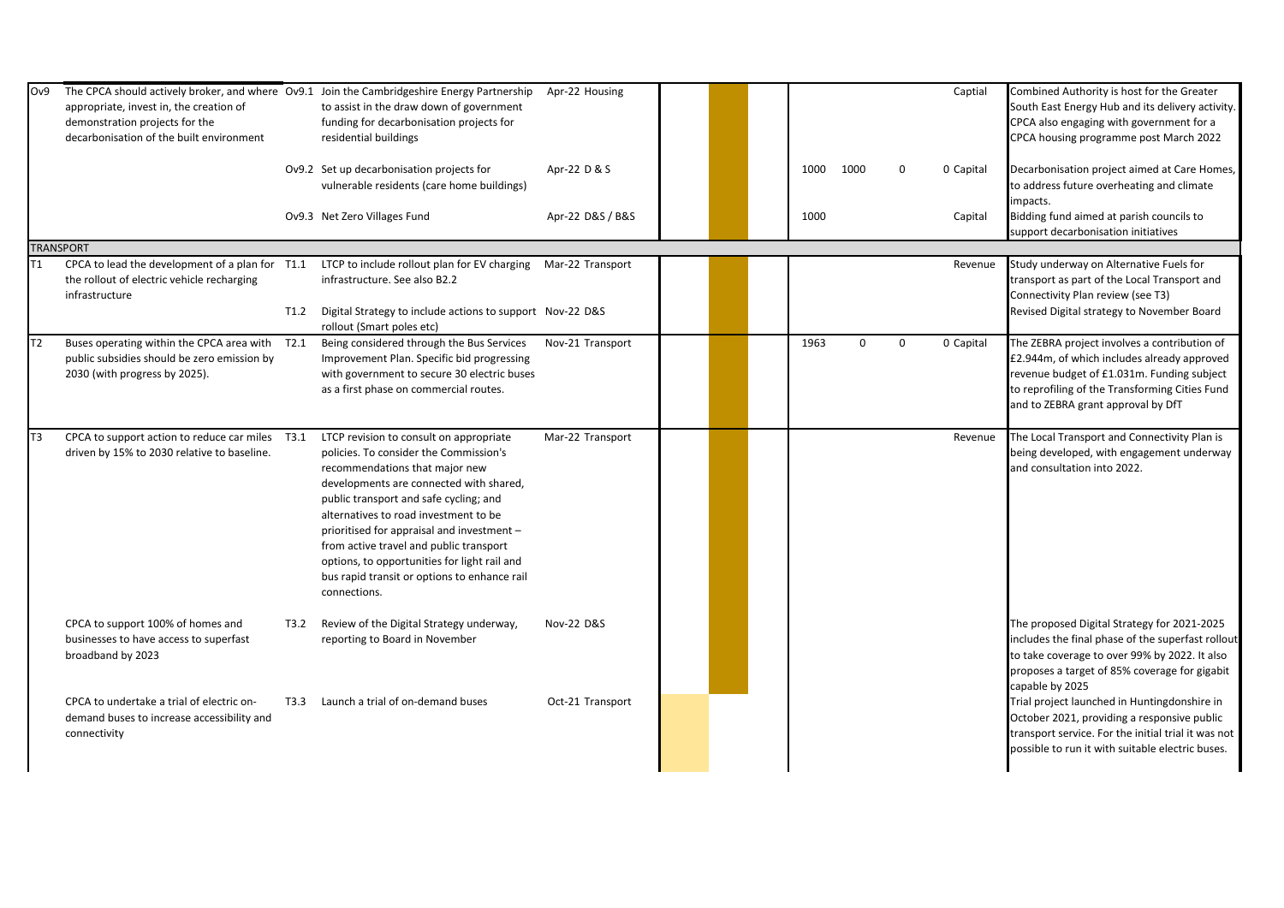| Ov9 | appropriate, invest in, the creation of<br>demonstration projects for the<br>decarbonisation of the built environment          |      | The CPCA should actively broker, and where Ov9.1 Join the Cambridgeshire Energy Partnership<br>to assist in the draw down of government<br>funding for decarbonisation projects for<br>residential buildings                                                                                                                                                                                                                                               | Apr-22 Housing   |  |      |          |             | Captial   | Combined Authority is host for the Greater<br>South East Energy Hub and its delivery activity.<br>CPCA also engaging with government for a<br>CPCA housing programme post March 2022                                              |
|-----|--------------------------------------------------------------------------------------------------------------------------------|------|------------------------------------------------------------------------------------------------------------------------------------------------------------------------------------------------------------------------------------------------------------------------------------------------------------------------------------------------------------------------------------------------------------------------------------------------------------|------------------|--|------|----------|-------------|-----------|-----------------------------------------------------------------------------------------------------------------------------------------------------------------------------------------------------------------------------------|
|     |                                                                                                                                |      | Ov9.2 Set up decarbonisation projects for<br>vulnerable residents (care home buildings)                                                                                                                                                                                                                                                                                                                                                                    | Apr-22 D & S     |  | 1000 | 1000     | $\Omega$    | 0 Capital | Decarbonisation project aimed at Care Homes,<br>to address future overheating and climate<br>impacts.                                                                                                                             |
|     |                                                                                                                                |      | Ov9.3 Net Zero Villages Fund                                                                                                                                                                                                                                                                                                                                                                                                                               | Apr-22 D&S / B&S |  | 1000 |          |             | Capital   | Bidding fund aimed at parish councils to<br>support decarbonisation initiatives                                                                                                                                                   |
|     | <b>TRANSPORT</b>                                                                                                               |      |                                                                                                                                                                                                                                                                                                                                                                                                                                                            |                  |  |      |          |             |           |                                                                                                                                                                                                                                   |
| Τ1  | CPCA to lead the development of a plan for T1.1<br>the rollout of electric vehicle recharging<br>infrastructure                | T1.2 | LTCP to include rollout plan for EV charging Mar-22 Transport<br>infrastructure. See also B2.2<br>Digital Strategy to include actions to support Nov-22 D&S<br>rollout (Smart poles etc)                                                                                                                                                                                                                                                                   |                  |  |      |          |             | Revenue   | Study underway on Alternative Fuels for<br>transport as part of the Local Transport and<br>Connectivity Plan review (see T3)<br>Revised Digital strategy to November Board                                                        |
| T2  | Buses operating within the CPCA area with T2.1<br>public subsidies should be zero emission by<br>2030 (with progress by 2025). |      | Being considered through the Bus Services<br>Improvement Plan. Specific bid progressing<br>with government to secure 30 electric buses<br>as a first phase on commercial routes.                                                                                                                                                                                                                                                                           | Nov-21 Transport |  | 1963 | $\Omega$ | $\mathbf 0$ | 0 Capital | The ZEBRA project involves a contribution of<br>£2.944m, of which includes already approved<br>revenue budget of £1.031m. Funding subject<br>to reprofiling of the Transforming Cities Fund<br>and to ZEBRA grant approval by DfT |
| T3  | CPCA to support action to reduce car miles T3.1<br>driven by 15% to 2030 relative to baseline.                                 |      | LTCP revision to consult on appropriate<br>policies. To consider the Commission's<br>recommendations that major new<br>developments are connected with shared,<br>public transport and safe cycling; and<br>alternatives to road investment to be<br>prioritised for appraisal and investment -<br>from active travel and public transport<br>options, to opportunities for light rail and<br>bus rapid transit or options to enhance rail<br>connections. | Mar-22 Transport |  |      |          |             | Revenue   | The Local Transport and Connectivity Plan is<br>being developed, with engagement underway<br>and consultation into 2022.                                                                                                          |
|     | CPCA to support 100% of homes and<br>businesses to have access to superfast<br>broadband by 2023                               | T3.2 | Review of the Digital Strategy underway,<br>reporting to Board in November                                                                                                                                                                                                                                                                                                                                                                                 | Nov-22 D&S       |  |      |          |             |           | The proposed Digital Strategy for 2021-2025<br>includes the final phase of the superfast rollout<br>to take coverage to over 99% by 2022. It also<br>proposes a target of 85% coverage for gigabit<br>capable by 2025             |
|     | CPCA to undertake a trial of electric on-<br>demand buses to increase accessibility and<br>connectivity                        | T3.3 | Launch a trial of on-demand buses                                                                                                                                                                                                                                                                                                                                                                                                                          | Oct-21 Transport |  |      |          |             |           | Trial project launched in Huntingdonshire in<br>October 2021, providing a responsive public<br>transport service. For the initial trial it was not<br>possible to run it with suitable electric buses.                            |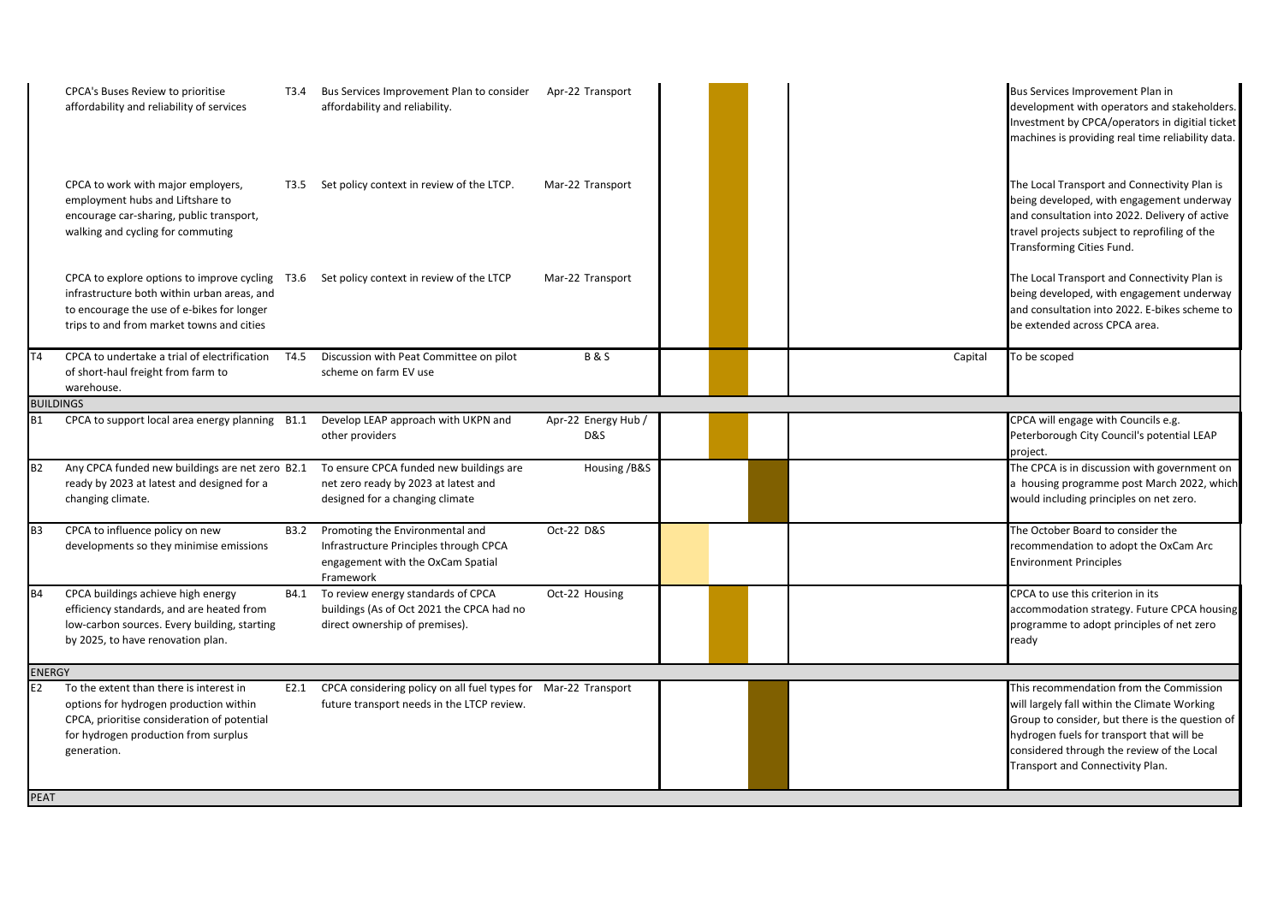|                  | CPCA's Buses Review to prioritise<br>affordability and reliability of services                                                                                                            | T3.4 | Bus Services Improvement Plan to consider<br>affordability and reliability.                                                 | Apr-22 Transport           |  |  |         | Bus Services Improvement Plan in<br>development with operators and stakeholders.<br>Investment by CPCA/operators in digitial ticket<br>machines is providing real time reliability data.                                                                                  |  |  |
|------------------|-------------------------------------------------------------------------------------------------------------------------------------------------------------------------------------------|------|-----------------------------------------------------------------------------------------------------------------------------|----------------------------|--|--|---------|---------------------------------------------------------------------------------------------------------------------------------------------------------------------------------------------------------------------------------------------------------------------------|--|--|
|                  | CPCA to work with major employers,<br>employment hubs and Liftshare to<br>encourage car-sharing, public transport,<br>walking and cycling for commuting                                   | T3.5 | Set policy context in review of the LTCP.                                                                                   | Mar-22 Transport           |  |  |         | The Local Transport and Connectivity Plan is<br>being developed, with engagement underway<br>and consultation into 2022. Delivery of active<br>travel projects subject to reprofiling of the<br>Transforming Cities Fund.                                                 |  |  |
|                  | CPCA to explore options to improve cycling T3.6<br>infrastructure both within urban areas, and<br>to encourage the use of e-bikes for longer<br>trips to and from market towns and cities |      | Set policy context in review of the LTCP                                                                                    | Mar-22 Transport           |  |  |         | The Local Transport and Connectivity Plan is<br>being developed, with engagement underway<br>and consultation into 2022. E-bikes scheme to<br>be extended across CPCA area.                                                                                               |  |  |
| <b>T4</b>        | CPCA to undertake a trial of electrification<br>of short-haul freight from farm to<br>warehouse.                                                                                          | T4.5 | Discussion with Peat Committee on pilot<br>scheme on farm EV use                                                            | <b>B&amp;S</b>             |  |  | Capital | To be scoped                                                                                                                                                                                                                                                              |  |  |
| <b>BUILDINGS</b> |                                                                                                                                                                                           |      |                                                                                                                             |                            |  |  |         |                                                                                                                                                                                                                                                                           |  |  |
| <b>B1</b>        | CPCA to support local area energy planning B1.1                                                                                                                                           |      | Develop LEAP approach with UKPN and<br>other providers                                                                      | Apr-22 Energy Hub /<br>D&S |  |  |         | CPCA will engage with Councils e.g.<br>Peterborough City Council's potential LEAP<br>project.                                                                                                                                                                             |  |  |
| <b>B2</b>        | Any CPCA funded new buildings are net zero B2.1<br>ready by 2023 at latest and designed for a<br>changing climate.                                                                        |      | To ensure CPCA funded new buildings are<br>net zero ready by 2023 at latest and<br>designed for a changing climate          | Housing / B&S              |  |  |         | The CPCA is in discussion with government on<br>a housing programme post March 2022, which<br>would including principles on net zero.                                                                                                                                     |  |  |
| <b>B3</b>        | CPCA to influence policy on new<br>developments so they minimise emissions                                                                                                                | B3.2 | Promoting the Environmental and<br>Infrastructure Principles through CPCA<br>engagement with the OxCam Spatial<br>Framework | Oct-22 D&S                 |  |  |         | The October Board to consider the<br>recommendation to adopt the OxCam Arc<br><b>Environment Principles</b>                                                                                                                                                               |  |  |
| <b>B4</b>        | CPCA buildings achieve high energy<br>efficiency standards, and are heated from<br>low-carbon sources. Every building, starting<br>by 2025, to have renovation plan.                      | B4.1 | To review energy standards of CPCA<br>buildings (As of Oct 2021 the CPCA had no<br>direct ownership of premises).           | Oct-22 Housing             |  |  |         | CPCA to use this criterion in its<br>accommodation strategy. Future CPCA housing<br>programme to adopt principles of net zero<br>ready                                                                                                                                    |  |  |
|                  | <b>ENERGY</b>                                                                                                                                                                             |      |                                                                                                                             |                            |  |  |         |                                                                                                                                                                                                                                                                           |  |  |
| E2               | To the extent than there is interest in<br>options for hydrogen production within<br>CPCA, prioritise consideration of potential<br>for hydrogen production from surplus<br>generation.   | E2.1 | CPCA considering policy on all fuel types for Mar-22 Transport<br>future transport needs in the LTCP review.                |                            |  |  |         | This recommendation from the Commission<br>will largely fall within the Climate Working<br>Group to consider, but there is the question of<br>hydrogen fuels for transport that will be<br>considered through the review of the Local<br>Transport and Connectivity Plan. |  |  |
| <b>PEAT</b>      |                                                                                                                                                                                           |      |                                                                                                                             |                            |  |  |         |                                                                                                                                                                                                                                                                           |  |  |